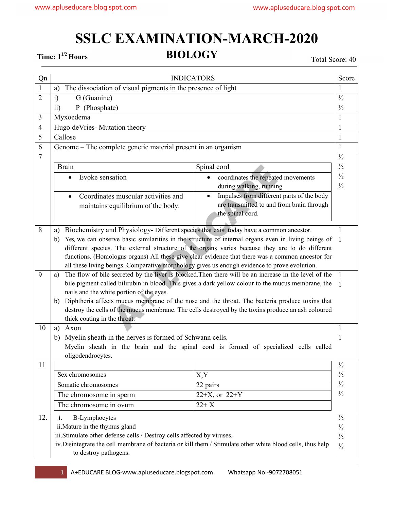## **SSLC EXAMINATION-MARCH-2020**

**Time:**  $1^{1/2}$  Hours **BIOLOGY** Total Score: 40

| Qn             | <b>INDICATORS</b>                                                                                                                                                                                          |                                           |               |
|----------------|------------------------------------------------------------------------------------------------------------------------------------------------------------------------------------------------------------|-------------------------------------------|---------------|
| $\mathbf{1}$   | The dissociation of visual pigments in the presence of light<br>a)                                                                                                                                         |                                           |               |
| $\overline{2}$ | G (Guanine)<br>i)                                                                                                                                                                                          |                                           |               |
|                | P (Phosphate)<br>$\rm ii)$                                                                                                                                                                                 |                                           |               |
| 3              | Myxoedema                                                                                                                                                                                                  |                                           | 1             |
| $\overline{4}$ | Hugo deVries-Mutation theory                                                                                                                                                                               |                                           | 1             |
| 5              | Callose                                                                                                                                                                                                    |                                           |               |
| 6              | Genome – The complete genetic material present in an organism                                                                                                                                              |                                           |               |
| $\overline{7}$ |                                                                                                                                                                                                            |                                           |               |
|                | <b>Brain</b>                                                                                                                                                                                               | Spinal cord                               | $\frac{1}{2}$ |
|                | Evoke sensation<br>$\bullet$                                                                                                                                                                               | coordinates the repeated movements        | $\frac{1}{2}$ |
|                |                                                                                                                                                                                                            | during walking, running                   | $\frac{1}{2}$ |
|                | Coordinates muscular activities and<br>$\bullet$                                                                                                                                                           | Impulses from different parts of the body |               |
|                | maintains equilibrium of the body.                                                                                                                                                                         | are transmitted to and from brain through |               |
|                |                                                                                                                                                                                                            | the spinal cord.                          |               |
| 8              | Biochemistry and Physiology- Different species that exist today have a common ancestor.<br>1<br>a)                                                                                                         |                                           |               |
|                | Yes, we can observe basic similarities in the structure of internal organs even in living beings of<br>b)<br>1                                                                                             |                                           |               |
|                | different species. The external structure of the organs varies because they are to do different                                                                                                            |                                           |               |
|                | functions. (Homologus organs) All these give clear evidence that there was a common ancestor for                                                                                                           |                                           |               |
|                | all these living beings. Comparative morphology gives us enough evidence to prove evolution.                                                                                                               |                                           |               |
| 9              | The flow of bile secreted by the liver is blocked. Then there will be an increase in the level of the<br>a)                                                                                                |                                           |               |
|                | bile pigment called bilirubin in blood. This gives a dark yellow colour to the mucus membrane, the                                                                                                         |                                           |               |
|                | nails and the white portion of the eyes.                                                                                                                                                                   |                                           |               |
|                | Diphtheria affects mucus membrane of the nose and the throat. The bacteria produce toxins that<br>b)<br>destroy the cells of the mucus membrane. The cells destroyed by the toxins produce an ash coloured |                                           |               |
|                | thick coating in the throat.                                                                                                                                                                               |                                           |               |
| 10             | Axon<br>a)                                                                                                                                                                                                 |                                           |               |
|                | Myelin sheath in the nerves is formed of Schwann cells.<br>b)                                                                                                                                              |                                           | 1             |
|                | Myelin sheath in the brain and the spinal cord is formed of specialized cells called                                                                                                                       |                                           |               |
|                | oligodendrocytes.                                                                                                                                                                                          |                                           |               |
| 11             |                                                                                                                                                                                                            |                                           | $\frac{1}{2}$ |
|                | Sex chromosomes                                                                                                                                                                                            | X,Y                                       | $\frac{1}{2}$ |
|                | Somatic chromosomes                                                                                                                                                                                        | 22 pairs                                  | $\frac{1}{2}$ |
|                | The chromosome in sperm                                                                                                                                                                                    | 22+X, or $22+Y$                           | $\frac{1}{2}$ |
|                | The chromosome in ovum                                                                                                                                                                                     | $22+X$                                    |               |
| 12.            | i.<br><b>B-Lymphocytes</b>                                                                                                                                                                                 |                                           |               |
|                | ii. Mature in the thymus gland                                                                                                                                                                             |                                           | $\frac{1}{2}$ |
|                | iii.Stimulate other defense cells / Destroy cells affected by viruses.                                                                                                                                     |                                           | $\frac{1}{2}$ |
|                | iv. Disintegrate the cell membrane of bacteria or kill them / Stimulate other white blood cells, thus help                                                                                                 |                                           |               |
|                | to destroy pathogens.                                                                                                                                                                                      |                                           |               |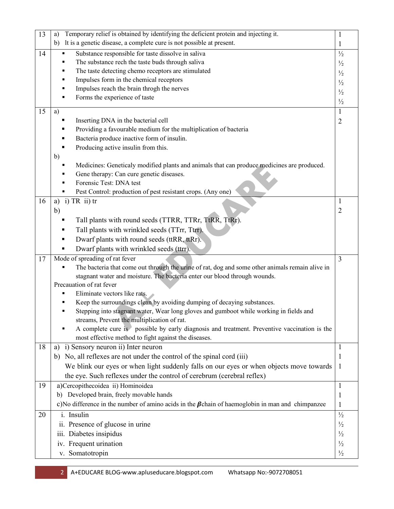| 13 | Temporary relief is obtained by identifying the deficient protein and injecting it.<br>a)                                         |                                |  |
|----|-----------------------------------------------------------------------------------------------------------------------------------|--------------------------------|--|
|    | It is a genetic disease, a complete cure is not possible at present.<br>b)                                                        | 1                              |  |
| 14 | Substance responsible for taste dissolve in saliva                                                                                | $\frac{1}{2}$                  |  |
|    | The substance rech the taste buds through saliva                                                                                  | $\frac{1}{2}$                  |  |
|    | The taste detecting chemo receptors are stimulated<br>П                                                                           | $\frac{1}{2}$                  |  |
|    | Impulses form in the chemical receptors<br>п                                                                                      | $\frac{1}{2}$                  |  |
|    | Impulses reach the brain throgh the nerves                                                                                        | $\frac{1}{2}$                  |  |
|    | Forms the experience of taste                                                                                                     | $\frac{1}{2}$                  |  |
| 15 | a)                                                                                                                                | 1                              |  |
|    | Inserting DNA in the bacterial cell                                                                                               |                                |  |
|    | Providing a favourable medium for the multiplication of bacteria<br>п                                                             | $\overline{2}$                 |  |
|    | Bacteria produce inactive form of insulin.                                                                                        |                                |  |
|    | Producing active insulin from this.                                                                                               |                                |  |
|    | b)                                                                                                                                |                                |  |
|    | Medicines: Geneticaly modified plants and animals that can produce medicines are produced.                                        |                                |  |
|    | Gene therapy: Can cure genetic diseases.                                                                                          |                                |  |
|    | Forensic Test: DNA test                                                                                                           |                                |  |
|    | Pest Control: production of pest resistant crops. (Any one)                                                                       |                                |  |
| 16 | a) i) TR ii) $tr$                                                                                                                 | -1                             |  |
|    | b)                                                                                                                                | $\overline{2}$                 |  |
|    | Tall plants with round seeds (TTRR, TTRr, TtRR, TtRr).                                                                            |                                |  |
|    | Tall plants with wrinkled seeds (TTrr, Ttrr).<br>■                                                                                |                                |  |
|    | Dwarf plants with round seeds (ttRR, ttRr).<br>п                                                                                  |                                |  |
|    | п                                                                                                                                 |                                |  |
|    | Dwarf plants with wrinkled seeds (ttrr).                                                                                          | $\overline{3}$                 |  |
| 17 | Mode of spreading of rat fever<br>The bacteria that come out through the urine of rat, dog and some other animals remain alive in |                                |  |
|    | stagnant water and moisture. The bacteria enter our blood through wounds.                                                         |                                |  |
|    | Precauation of rat fever                                                                                                          |                                |  |
|    | Eliminate vectors like rats.                                                                                                      |                                |  |
|    | Keep the surroundings clean by avoiding dumping of decaying substances.                                                           |                                |  |
|    | Stepping into stagnant water, Wear long gloves and gumboot while working in fields and<br>п                                       |                                |  |
|    | streams, Prevent the multiplication of rat.                                                                                       |                                |  |
|    | A complete cure is possible by early diagnosis and treatment. Preventive vaccination is the                                       |                                |  |
|    | most effective method to fight against the diseases.                                                                              |                                |  |
| 18 | a) i) Sensory neuron ii) Inter neuron                                                                                             | 1                              |  |
|    | b) No, all reflexes are not under the control of the spinal cord (iii)                                                            | 1                              |  |
|    | We blink our eyes or when light suddenly falls on our eyes or when objects move towards                                           | -1                             |  |
|    | the eye. Such reflexes under the control of cerebrum (cerebral reflex)                                                            |                                |  |
| 19 | a)Cercopithecoidea ii) Hominoidea                                                                                                 |                                |  |
|    | b) Developed brain, freely movable hands                                                                                          | $\mathbf 1$                    |  |
|    | c) No difference in the number of amino acids in the $\beta$ chain of haemoglobin in man and chimpanzee                           | 1                              |  |
| 20 | i. Insulin                                                                                                                        | $\frac{1}{2}$                  |  |
|    | ii. Presence of glucose in urine                                                                                                  | $\frac{1}{2}$                  |  |
|    | iii. Diabetes insipidus                                                                                                           |                                |  |
|    | iv. Frequent urination                                                                                                            | $\frac{1}{2}$<br>$\frac{1}{2}$ |  |
|    | v. Somatotropin                                                                                                                   | $\frac{1}{2}$                  |  |
|    |                                                                                                                                   |                                |  |